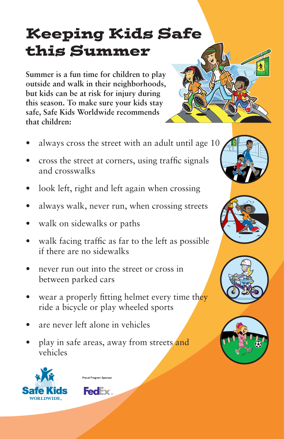## Keeping Kids Safe this Summer

**Summer is a fun time for children to play outside and walk in their neighborhoods, but kids can be at risk for injury during this season. To make sure your kids stay safe, Safe Kids Worldwide recommends that children:** 

- always cross the street with an adult until age 10
- cross the street at corners, using traffic signals and crosswalks
- look left, right and left again when crossing
- always walk, never run, when crossing streets
- walk on sidewalks or paths
- walk facing traffic as far to the left as possible if there are no sidewalks
- never run out into the street or cross in between parked cars
- wear a properly fitting helmet every time they ride a bicycle or play wheeled sports
- are never left alone in vehicles
- play in safe areas, away from streets and vehicles